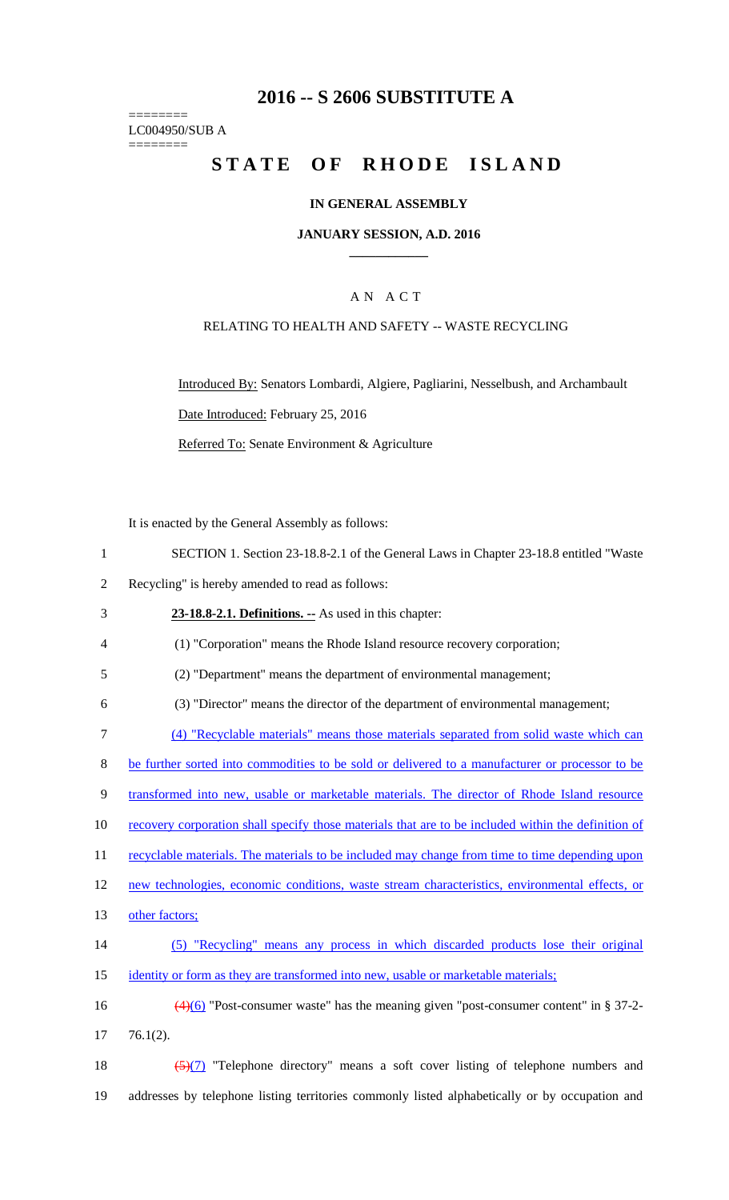# **2016 -- S 2606 SUBSTITUTE A**

======== LC004950/SUB A ========

# STATE OF RHODE ISLAND

### **IN GENERAL ASSEMBLY**

#### **JANUARY SESSION, A.D. 2016 \_\_\_\_\_\_\_\_\_\_\_\_**

## A N A C T

### RELATING TO HEALTH AND SAFETY -- WASTE RECYCLING

Introduced By: Senators Lombardi, Algiere, Pagliarini, Nesselbush, and Archambault Date Introduced: February 25, 2016

Referred To: Senate Environment & Agriculture

It is enacted by the General Assembly as follows:

- 1 SECTION 1. Section 23-18.8-2.1 of the General Laws in Chapter 23-18.8 entitled "Waste
- 2 Recycling" is hereby amended to read as follows:

3 **23-18.8-2.1. Definitions. --** As used in this chapter:

4 (1) "Corporation" means the Rhode Island resource recovery corporation;

5 (2) "Department" means the department of environmental management;

6 (3) "Director" means the director of the department of environmental management;

7 (4) "Recyclable materials" means those materials separated from solid waste which can

8 be further sorted into commodities to be sold or delivered to a manufacturer or processor to be

9 transformed into new, usable or marketable materials. The director of Rhode Island resource

10 recovery corporation shall specify those materials that are to be included within the definition of

11 recyclable materials. The materials to be included may change from time to time depending upon

12 new technologies, economic conditions, waste stream characteristics, environmental effects, or

- 13 other factors;
- 14 (5) "Recycling" means any process in which discarded products lose their original 15 identity or form as they are transformed into new, usable or marketable materials;
- 16  $\left(4\right)$  "Post-consumer waste" has the meaning given "post-consumer content" in § 37-2-17 76.1(2).
- 18  $\frac{(5)(7)}{7}$  "Telephone directory" means a soft cover listing of telephone numbers and 19 addresses by telephone listing territories commonly listed alphabetically or by occupation and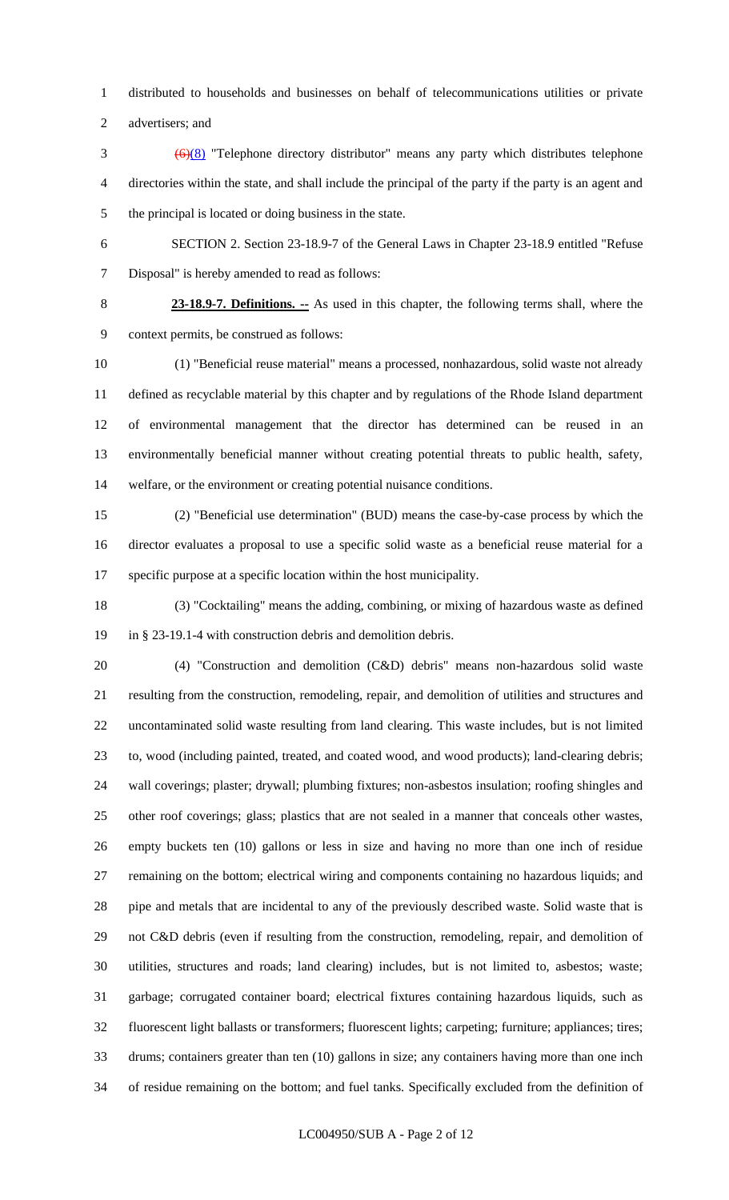distributed to households and businesses on behalf of telecommunications utilities or private

advertisers; and

- (6)(8) "Telephone directory distributor" means any party which distributes telephone directories within the state, and shall include the principal of the party if the party is an agent and the principal is located or doing business in the state.
- 

 SECTION 2. Section 23-18.9-7 of the General Laws in Chapter 23-18.9 entitled "Refuse Disposal" is hereby amended to read as follows:

 **23-18.9-7. Definitions. --** As used in this chapter, the following terms shall, where the context permits, be construed as follows:

 (1) "Beneficial reuse material" means a processed, nonhazardous, solid waste not already defined as recyclable material by this chapter and by regulations of the Rhode Island department of environmental management that the director has determined can be reused in an environmentally beneficial manner without creating potential threats to public health, safety, welfare, or the environment or creating potential nuisance conditions.

 (2) "Beneficial use determination" (BUD) means the case-by-case process by which the director evaluates a proposal to use a specific solid waste as a beneficial reuse material for a specific purpose at a specific location within the host municipality.

 (3) "Cocktailing" means the adding, combining, or mixing of hazardous waste as defined in § 23-19.1-4 with construction debris and demolition debris.

 (4) "Construction and demolition (C&D) debris" means non-hazardous solid waste resulting from the construction, remodeling, repair, and demolition of utilities and structures and uncontaminated solid waste resulting from land clearing. This waste includes, but is not limited to, wood (including painted, treated, and coated wood, and wood products); land-clearing debris; wall coverings; plaster; drywall; plumbing fixtures; non-asbestos insulation; roofing shingles and other roof coverings; glass; plastics that are not sealed in a manner that conceals other wastes, empty buckets ten (10) gallons or less in size and having no more than one inch of residue remaining on the bottom; electrical wiring and components containing no hazardous liquids; and pipe and metals that are incidental to any of the previously described waste. Solid waste that is not C&D debris (even if resulting from the construction, remodeling, repair, and demolition of utilities, structures and roads; land clearing) includes, but is not limited to, asbestos; waste; garbage; corrugated container board; electrical fixtures containing hazardous liquids, such as fluorescent light ballasts or transformers; fluorescent lights; carpeting; furniture; appliances; tires; drums; containers greater than ten (10) gallons in size; any containers having more than one inch of residue remaining on the bottom; and fuel tanks. Specifically excluded from the definition of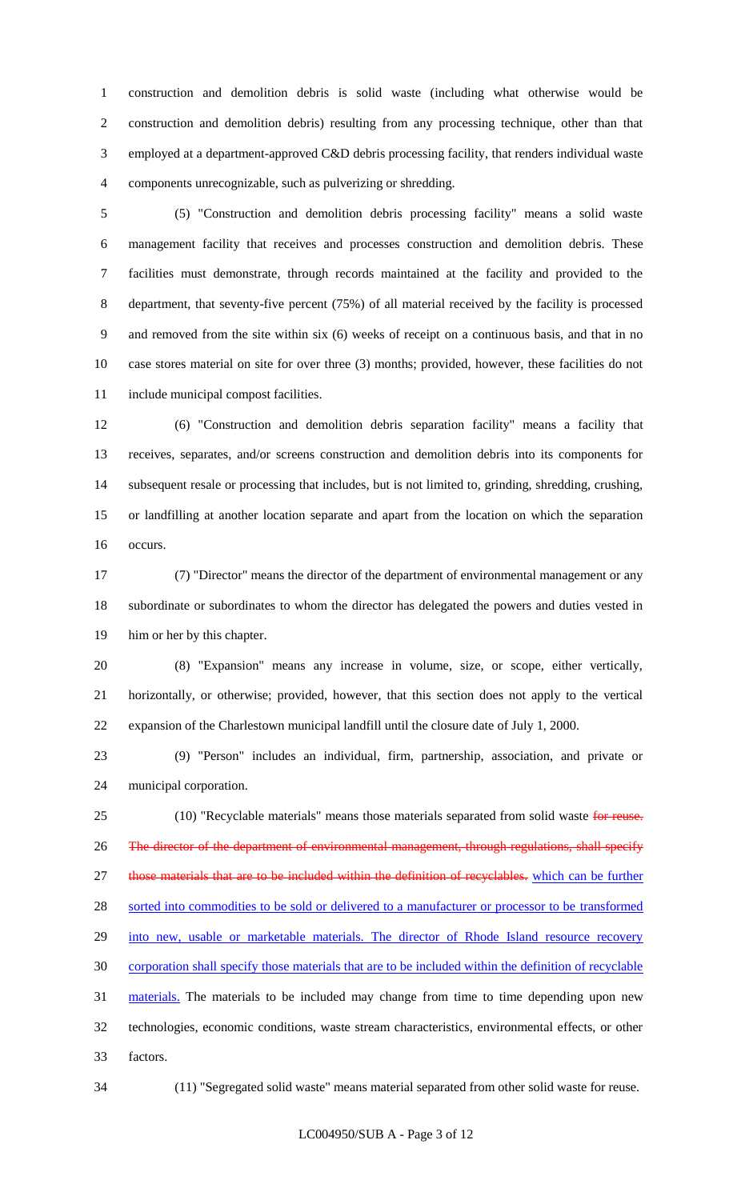construction and demolition debris is solid waste (including what otherwise would be construction and demolition debris) resulting from any processing technique, other than that employed at a department-approved C&D debris processing facility, that renders individual waste components unrecognizable, such as pulverizing or shredding.

 (5) "Construction and demolition debris processing facility" means a solid waste management facility that receives and processes construction and demolition debris. These facilities must demonstrate, through records maintained at the facility and provided to the department, that seventy-five percent (75%) of all material received by the facility is processed and removed from the site within six (6) weeks of receipt on a continuous basis, and that in no case stores material on site for over three (3) months; provided, however, these facilities do not include municipal compost facilities.

 (6) "Construction and demolition debris separation facility" means a facility that receives, separates, and/or screens construction and demolition debris into its components for subsequent resale or processing that includes, but is not limited to, grinding, shredding, crushing, or landfilling at another location separate and apart from the location on which the separation occurs.

 (7) "Director" means the director of the department of environmental management or any subordinate or subordinates to whom the director has delegated the powers and duties vested in him or her by this chapter.

 (8) "Expansion" means any increase in volume, size, or scope, either vertically, horizontally, or otherwise; provided, however, that this section does not apply to the vertical expansion of the Charlestown municipal landfill until the closure date of July 1, 2000.

 (9) "Person" includes an individual, firm, partnership, association, and private or municipal corporation.

25 (10) "Recyclable materials" means those materials separated from solid waste for reuse. 26 The director of the department of environmental management, through regulations, shall specify 27 those materials that are to be included within the definition of recyclables. which can be further 28 sorted into commodities to be sold or delivered to a manufacturer or processor to be transformed into new, usable or marketable materials. The director of Rhode Island resource recovery corporation shall specify those materials that are to be included within the definition of recyclable 31 materials. The materials to be included may change from time to time depending upon new technologies, economic conditions, waste stream characteristics, environmental effects, or other factors.

(11) "Segregated solid waste" means material separated from other solid waste for reuse.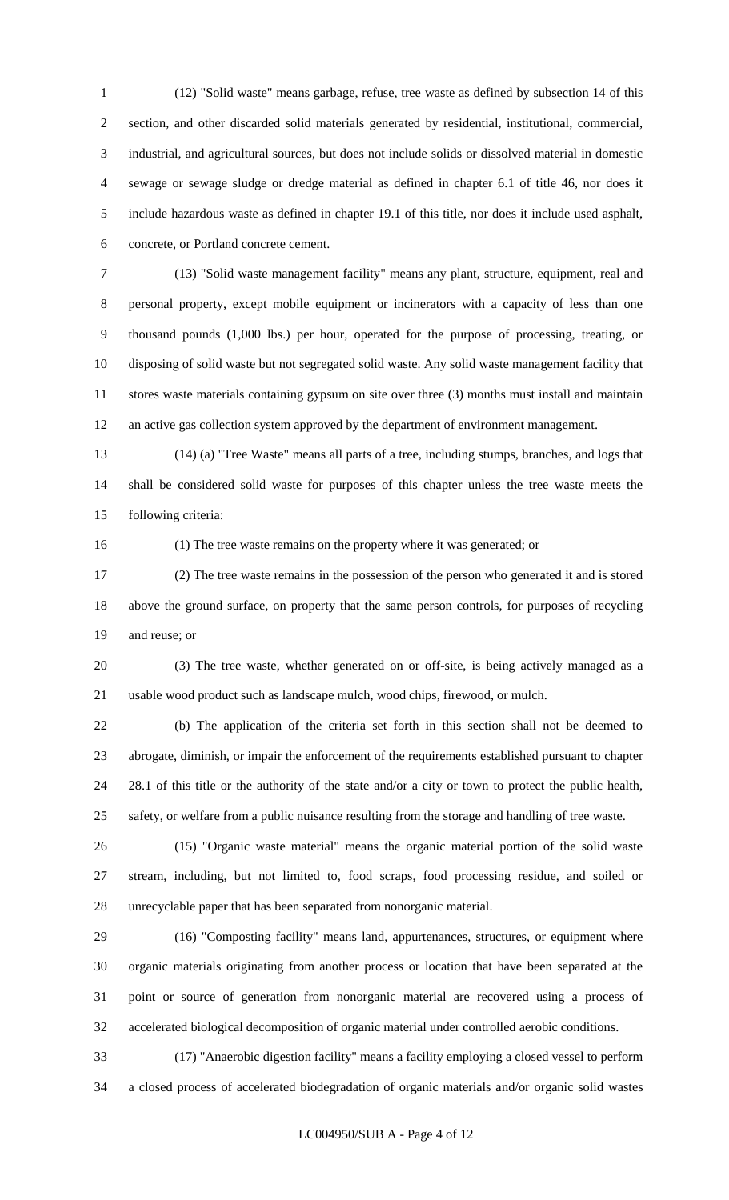(12) "Solid waste" means garbage, refuse, tree waste as defined by subsection 14 of this section, and other discarded solid materials generated by residential, institutional, commercial, industrial, and agricultural sources, but does not include solids or dissolved material in domestic sewage or sewage sludge or dredge material as defined in chapter 6.1 of title 46, nor does it include hazardous waste as defined in chapter 19.1 of this title, nor does it include used asphalt, concrete, or Portland concrete cement.

 (13) "Solid waste management facility" means any plant, structure, equipment, real and personal property, except mobile equipment or incinerators with a capacity of less than one thousand pounds (1,000 lbs.) per hour, operated for the purpose of processing, treating, or disposing of solid waste but not segregated solid waste. Any solid waste management facility that stores waste materials containing gypsum on site over three (3) months must install and maintain an active gas collection system approved by the department of environment management.

 (14) (a) "Tree Waste" means all parts of a tree, including stumps, branches, and logs that shall be considered solid waste for purposes of this chapter unless the tree waste meets the following criteria:

(1) The tree waste remains on the property where it was generated; or

 (2) The tree waste remains in the possession of the person who generated it and is stored above the ground surface, on property that the same person controls, for purposes of recycling and reuse; or

 (3) The tree waste, whether generated on or off-site, is being actively managed as a usable wood product such as landscape mulch, wood chips, firewood, or mulch.

 (b) The application of the criteria set forth in this section shall not be deemed to abrogate, diminish, or impair the enforcement of the requirements established pursuant to chapter 28.1 of this title or the authority of the state and/or a city or town to protect the public health, safety, or welfare from a public nuisance resulting from the storage and handling of tree waste.

 (15) "Organic waste material" means the organic material portion of the solid waste stream, including, but not limited to, food scraps, food processing residue, and soiled or unrecyclable paper that has been separated from nonorganic material.

 (16) "Composting facility" means land, appurtenances, structures, or equipment where organic materials originating from another process or location that have been separated at the point or source of generation from nonorganic material are recovered using a process of accelerated biological decomposition of organic material under controlled aerobic conditions.

 (17) "Anaerobic digestion facility" means a facility employing a closed vessel to perform a closed process of accelerated biodegradation of organic materials and/or organic solid wastes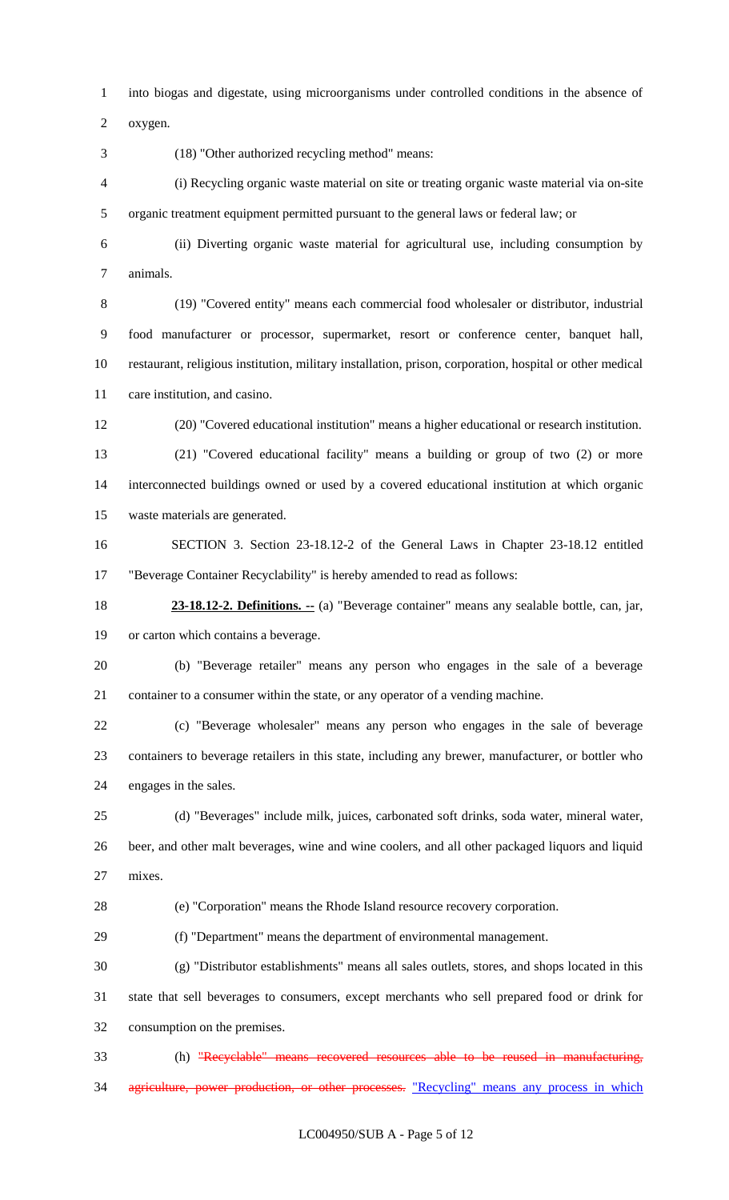into biogas and digestate, using microorganisms under controlled conditions in the absence of

oxygen.

(18) "Other authorized recycling method" means:

 (i) Recycling organic waste material on site or treating organic waste material via on-site organic treatment equipment permitted pursuant to the general laws or federal law; or

 (ii) Diverting organic waste material for agricultural use, including consumption by animals.

 (19) "Covered entity" means each commercial food wholesaler or distributor, industrial food manufacturer or processor, supermarket, resort or conference center, banquet hall, restaurant, religious institution, military installation, prison, corporation, hospital or other medical care institution, and casino.

(20) "Covered educational institution" means a higher educational or research institution.

 (21) "Covered educational facility" means a building or group of two (2) or more interconnected buildings owned or used by a covered educational institution at which organic waste materials are generated.

 SECTION 3. Section 23-18.12-2 of the General Laws in Chapter 23-18.12 entitled "Beverage Container Recyclability" is hereby amended to read as follows:

 **23-18.12-2. Definitions. --** (a) "Beverage container" means any sealable bottle, can, jar, or carton which contains a beverage.

 (b) "Beverage retailer" means any person who engages in the sale of a beverage container to a consumer within the state, or any operator of a vending machine.

 (c) "Beverage wholesaler" means any person who engages in the sale of beverage containers to beverage retailers in this state, including any brewer, manufacturer, or bottler who engages in the sales.

 (d) "Beverages" include milk, juices, carbonated soft drinks, soda water, mineral water, beer, and other malt beverages, wine and wine coolers, and all other packaged liquors and liquid mixes.

(e) "Corporation" means the Rhode Island resource recovery corporation.

(f) "Department" means the department of environmental management.

 (g) "Distributor establishments" means all sales outlets, stores, and shops located in this state that sell beverages to consumers, except merchants who sell prepared food or drink for consumption on the premises.

 (h) "Recyclable" means recovered resources able to be reused in manufacturing, 34 agriculture, power production, or other processes. "Recycling" means any process in which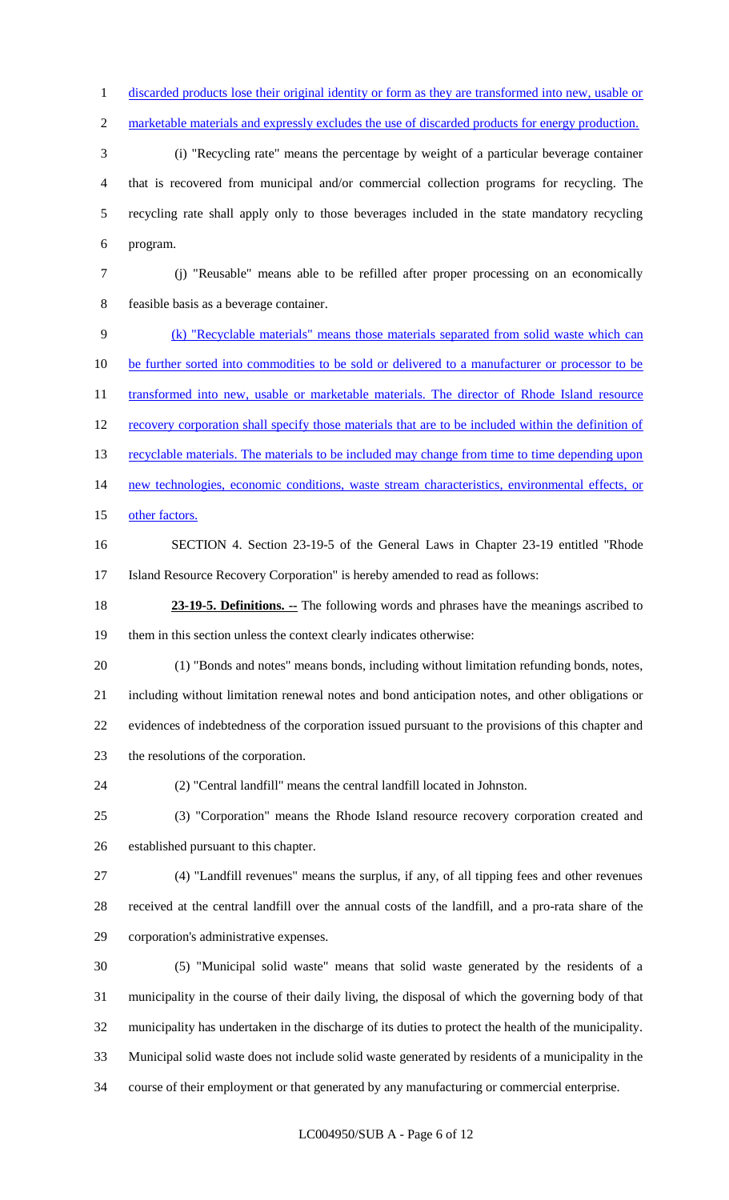1 discarded products lose their original identity or form as they are transformed into new, usable or

2 marketable materials and expressly excludes the use of discarded products for energy production.

 (i) "Recycling rate" means the percentage by weight of a particular beverage container that is recovered from municipal and/or commercial collection programs for recycling. The recycling rate shall apply only to those beverages included in the state mandatory recycling program.

 (j) "Reusable" means able to be refilled after proper processing on an economically feasible basis as a beverage container.

 (k) "Recyclable materials" means those materials separated from solid waste which can 10 be further sorted into commodities to be sold or delivered to a manufacturer or processor to be 11 transformed into new, usable or marketable materials. The director of Rhode Island resource recovery corporation shall specify those materials that are to be included within the definition of 13 recyclable materials. The materials to be included may change from time to time depending upon new technologies, economic conditions, waste stream characteristics, environmental effects, or 15 other factors.

 SECTION 4. Section 23-19-5 of the General Laws in Chapter 23-19 entitled "Rhode Island Resource Recovery Corporation" is hereby amended to read as follows:

**23-19-5. Definitions.** -- The following words and phrases have the meanings ascribed to them in this section unless the context clearly indicates otherwise:

 (1) "Bonds and notes" means bonds, including without limitation refunding bonds, notes, including without limitation renewal notes and bond anticipation notes, and other obligations or evidences of indebtedness of the corporation issued pursuant to the provisions of this chapter and the resolutions of the corporation.

(2) "Central landfill" means the central landfill located in Johnston.

 (3) "Corporation" means the Rhode Island resource recovery corporation created and established pursuant to this chapter.

 (4) "Landfill revenues" means the surplus, if any, of all tipping fees and other revenues received at the central landfill over the annual costs of the landfill, and a pro-rata share of the corporation's administrative expenses.

 (5) "Municipal solid waste" means that solid waste generated by the residents of a municipality in the course of their daily living, the disposal of which the governing body of that municipality has undertaken in the discharge of its duties to protect the health of the municipality. Municipal solid waste does not include solid waste generated by residents of a municipality in the course of their employment or that generated by any manufacturing or commercial enterprise.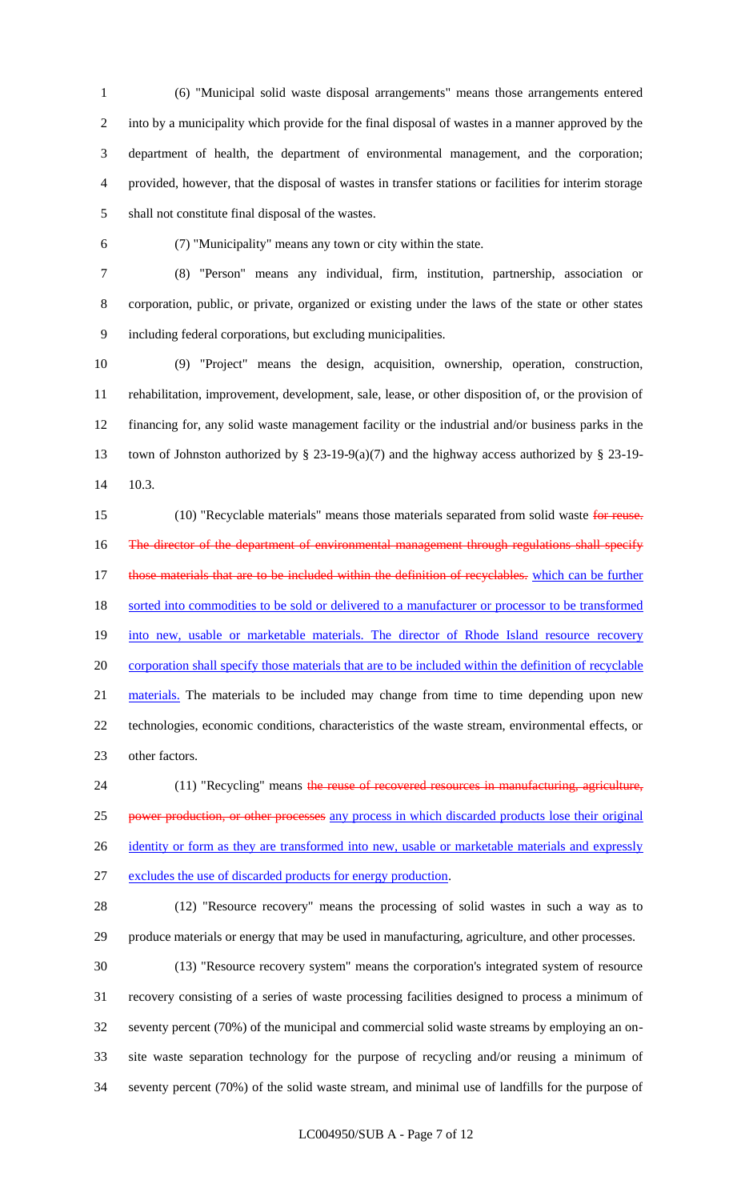(6) "Municipal solid waste disposal arrangements" means those arrangements entered into by a municipality which provide for the final disposal of wastes in a manner approved by the department of health, the department of environmental management, and the corporation; provided, however, that the disposal of wastes in transfer stations or facilities for interim storage shall not constitute final disposal of the wastes.

(7) "Municipality" means any town or city within the state.

 (8) "Person" means any individual, firm, institution, partnership, association or corporation, public, or private, organized or existing under the laws of the state or other states including federal corporations, but excluding municipalities.

 (9) "Project" means the design, acquisition, ownership, operation, construction, rehabilitation, improvement, development, sale, lease, or other disposition of, or the provision of financing for, any solid waste management facility or the industrial and/or business parks in the town of Johnston authorized by § 23-19-9(a)(7) and the highway access authorized by § 23-19- 10.3.

15 (10) "Recyclable materials" means those materials separated from solid waste for reuse. 16 The director of the department of environmental management through regulations shall specify 17 those materials that are to be included within the definition of recyclables. which can be further 18 sorted into commodities to be sold or delivered to a manufacturer or processor to be transformed 19 into new, usable or marketable materials. The director of Rhode Island resource recovery corporation shall specify those materials that are to be included within the definition of recyclable 21 materials. The materials to be included may change from time to time depending upon new technologies, economic conditions, characteristics of the waste stream, environmental effects, or other factors.

24 (11) "Recycling" means the reuse of recovered resources in manufacturing, agriculture, 25 power production, or other processes any process in which discarded products lose their original 26 identity or form as they are transformed into new, usable or marketable materials and expressly excludes the use of discarded products for energy production.

 (12) "Resource recovery" means the processing of solid wastes in such a way as to produce materials or energy that may be used in manufacturing, agriculture, and other processes.

 (13) "Resource recovery system" means the corporation's integrated system of resource recovery consisting of a series of waste processing facilities designed to process a minimum of seventy percent (70%) of the municipal and commercial solid waste streams by employing an on- site waste separation technology for the purpose of recycling and/or reusing a minimum of seventy percent (70%) of the solid waste stream, and minimal use of landfills for the purpose of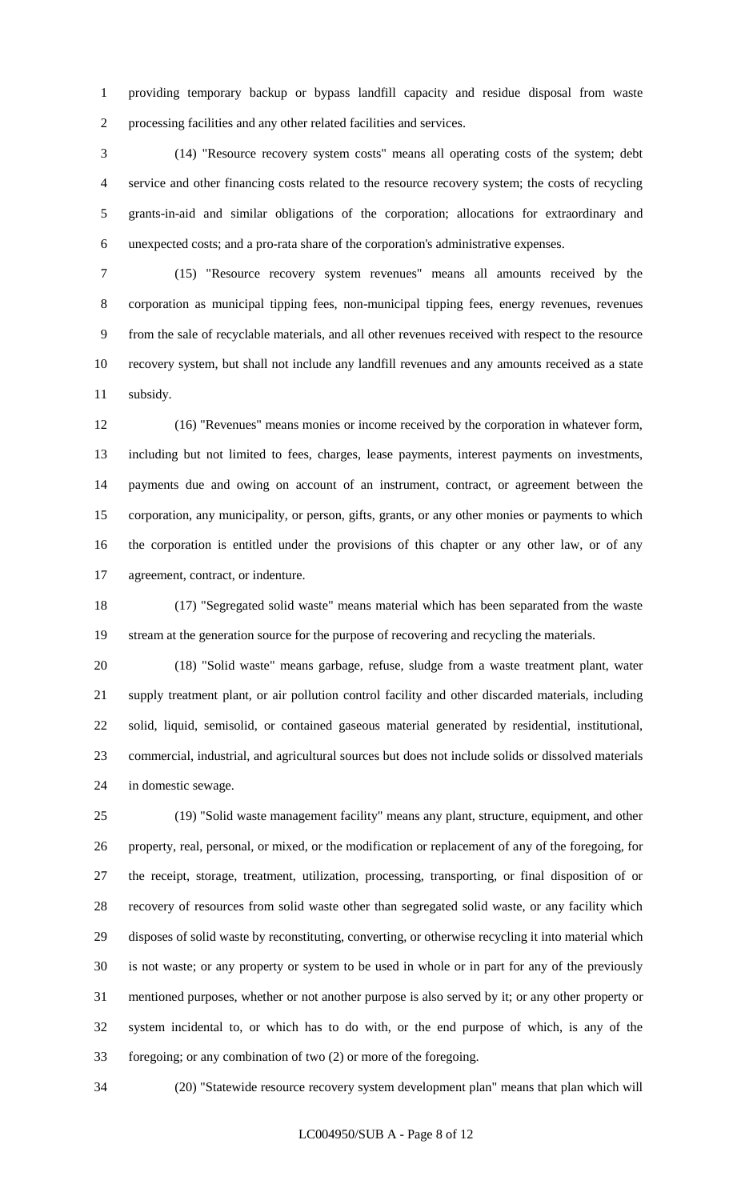providing temporary backup or bypass landfill capacity and residue disposal from waste processing facilities and any other related facilities and services.

 (14) "Resource recovery system costs" means all operating costs of the system; debt service and other financing costs related to the resource recovery system; the costs of recycling grants-in-aid and similar obligations of the corporation; allocations for extraordinary and unexpected costs; and a pro-rata share of the corporation's administrative expenses.

 (15) "Resource recovery system revenues" means all amounts received by the corporation as municipal tipping fees, non-municipal tipping fees, energy revenues, revenues from the sale of recyclable materials, and all other revenues received with respect to the resource recovery system, but shall not include any landfill revenues and any amounts received as a state subsidy.

 (16) "Revenues" means monies or income received by the corporation in whatever form, including but not limited to fees, charges, lease payments, interest payments on investments, payments due and owing on account of an instrument, contract, or agreement between the corporation, any municipality, or person, gifts, grants, or any other monies or payments to which the corporation is entitled under the provisions of this chapter or any other law, or of any agreement, contract, or indenture.

 (17) "Segregated solid waste" means material which has been separated from the waste 19 stream at the generation source for the purpose of recovering and recycling the materials.

 (18) "Solid waste" means garbage, refuse, sludge from a waste treatment plant, water supply treatment plant, or air pollution control facility and other discarded materials, including solid, liquid, semisolid, or contained gaseous material generated by residential, institutional, commercial, industrial, and agricultural sources but does not include solids or dissolved materials in domestic sewage.

 (19) "Solid waste management facility" means any plant, structure, equipment, and other property, real, personal, or mixed, or the modification or replacement of any of the foregoing, for the receipt, storage, treatment, utilization, processing, transporting, or final disposition of or recovery of resources from solid waste other than segregated solid waste, or any facility which disposes of solid waste by reconstituting, converting, or otherwise recycling it into material which is not waste; or any property or system to be used in whole or in part for any of the previously mentioned purposes, whether or not another purpose is also served by it; or any other property or system incidental to, or which has to do with, or the end purpose of which, is any of the foregoing; or any combination of two (2) or more of the foregoing.

(20) "Statewide resource recovery system development plan" means that plan which will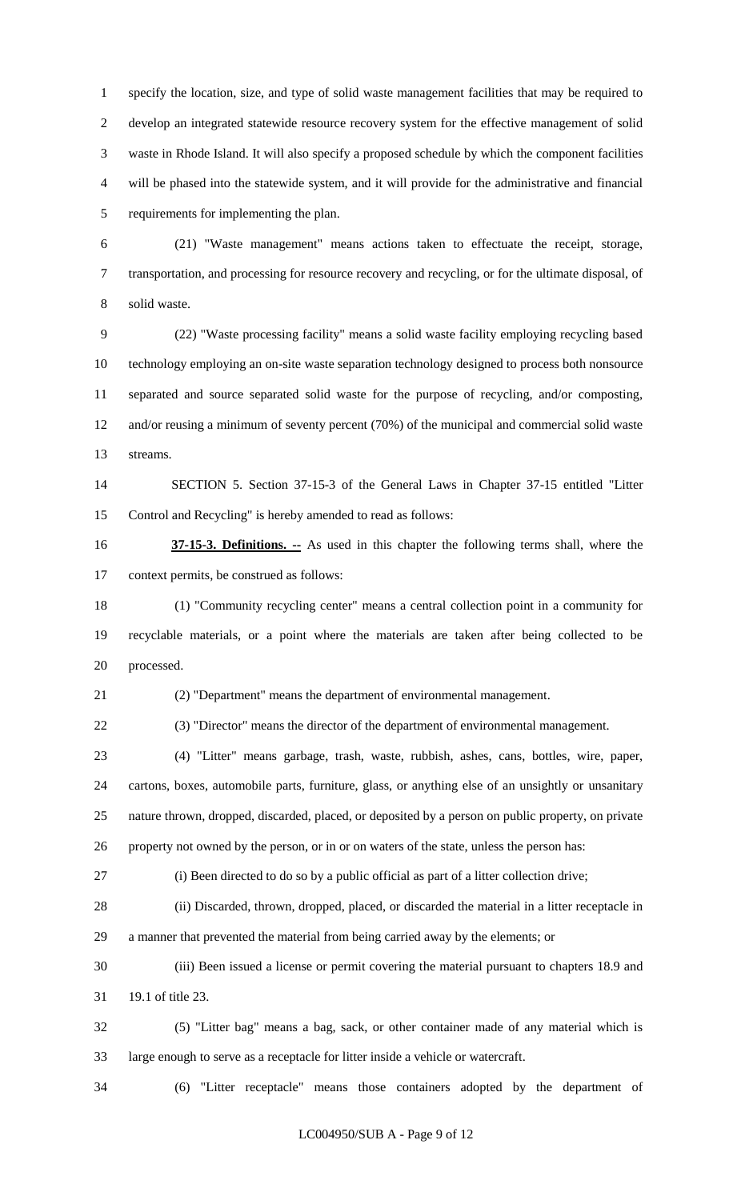specify the location, size, and type of solid waste management facilities that may be required to develop an integrated statewide resource recovery system for the effective management of solid waste in Rhode Island. It will also specify a proposed schedule by which the component facilities will be phased into the statewide system, and it will provide for the administrative and financial requirements for implementing the plan.

 (21) "Waste management" means actions taken to effectuate the receipt, storage, transportation, and processing for resource recovery and recycling, or for the ultimate disposal, of solid waste.

 (22) "Waste processing facility" means a solid waste facility employing recycling based technology employing an on-site waste separation technology designed to process both nonsource separated and source separated solid waste for the purpose of recycling, and/or composting, and/or reusing a minimum of seventy percent (70%) of the municipal and commercial solid waste streams.

 SECTION 5. Section 37-15-3 of the General Laws in Chapter 37-15 entitled "Litter Control and Recycling" is hereby amended to read as follows:

 **37-15-3. Definitions. --** As used in this chapter the following terms shall, where the context permits, be construed as follows:

 (1) "Community recycling center" means a central collection point in a community for recyclable materials, or a point where the materials are taken after being collected to be processed.

(2) "Department" means the department of environmental management.

(3) "Director" means the director of the department of environmental management.

 (4) "Litter" means garbage, trash, waste, rubbish, ashes, cans, bottles, wire, paper, cartons, boxes, automobile parts, furniture, glass, or anything else of an unsightly or unsanitary nature thrown, dropped, discarded, placed, or deposited by a person on public property, on private property not owned by the person, or in or on waters of the state, unless the person has:

(i) Been directed to do so by a public official as part of a litter collection drive;

 (ii) Discarded, thrown, dropped, placed, or discarded the material in a litter receptacle in a manner that prevented the material from being carried away by the elements; or

 (iii) Been issued a license or permit covering the material pursuant to chapters 18.9 and 19.1 of title 23.

 (5) "Litter bag" means a bag, sack, or other container made of any material which is large enough to serve as a receptacle for litter inside a vehicle or watercraft.

(6) "Litter receptacle" means those containers adopted by the department of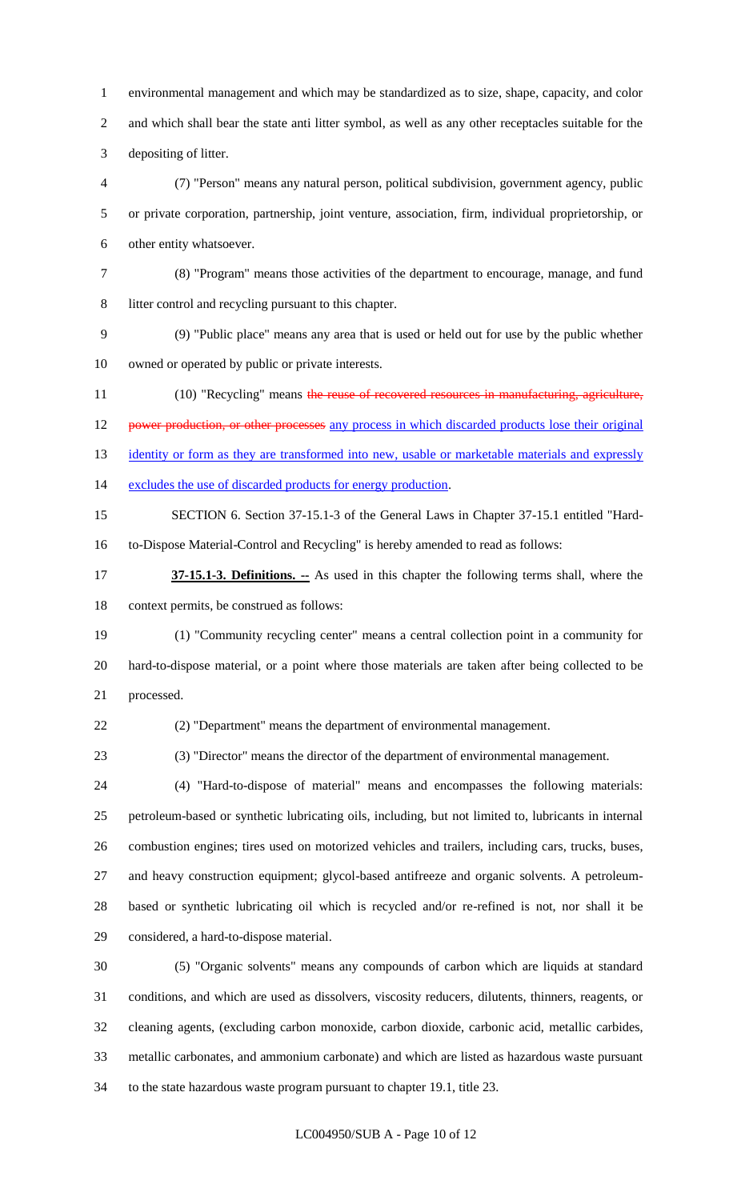environmental management and which may be standardized as to size, shape, capacity, and color and which shall bear the state anti litter symbol, as well as any other receptacles suitable for the depositing of litter.

 (7) "Person" means any natural person, political subdivision, government agency, public or private corporation, partnership, joint venture, association, firm, individual proprietorship, or other entity whatsoever.

(8) "Program" means those activities of the department to encourage, manage, and fund

litter control and recycling pursuant to this chapter.

 (9) "Public place" means any area that is used or held out for use by the public whether owned or operated by public or private interests.

11 (10) "Recycling" means the reuse of recovered resources in manufacturing, agriculture, 12 power production, or other processes any process in which discarded products lose their original 13 identity or form as they are transformed into new, usable or marketable materials and expressly

excludes the use of discarded products for energy production.

 SECTION 6. Section 37-15.1-3 of the General Laws in Chapter 37-15.1 entitled "Hard-to-Dispose Material-Control and Recycling" is hereby amended to read as follows:

 **37-15.1-3. Definitions. --** As used in this chapter the following terms shall, where the context permits, be construed as follows:

 (1) "Community recycling center" means a central collection point in a community for hard-to-dispose material, or a point where those materials are taken after being collected to be processed.

(2) "Department" means the department of environmental management.

(3) "Director" means the director of the department of environmental management.

 (4) "Hard-to-dispose of material" means and encompasses the following materials: petroleum-based or synthetic lubricating oils, including, but not limited to, lubricants in internal combustion engines; tires used on motorized vehicles and trailers, including cars, trucks, buses, and heavy construction equipment; glycol-based antifreeze and organic solvents. A petroleum- based or synthetic lubricating oil which is recycled and/or re-refined is not, nor shall it be considered, a hard-to-dispose material.

 (5) "Organic solvents" means any compounds of carbon which are liquids at standard conditions, and which are used as dissolvers, viscosity reducers, dilutents, thinners, reagents, or cleaning agents, (excluding carbon monoxide, carbon dioxide, carbonic acid, metallic carbides, metallic carbonates, and ammonium carbonate) and which are listed as hazardous waste pursuant to the state hazardous waste program pursuant to chapter 19.1, title 23.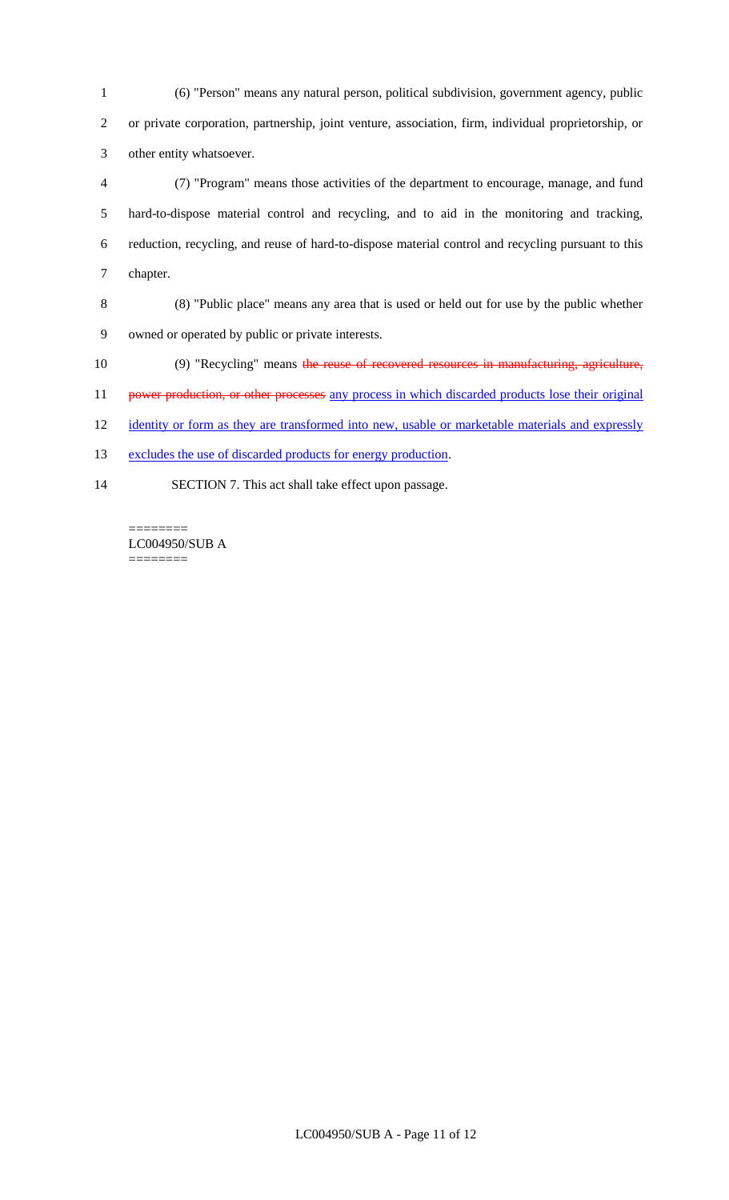(6) "Person" means any natural person, political subdivision, government agency, public or private corporation, partnership, joint venture, association, firm, individual proprietorship, or other entity whatsoever.

 (7) "Program" means those activities of the department to encourage, manage, and fund hard-to-dispose material control and recycling, and to aid in the monitoring and tracking, reduction, recycling, and reuse of hard-to-dispose material control and recycling pursuant to this chapter.

 (8) "Public place" means any area that is used or held out for use by the public whether owned or operated by public or private interests.

(9) "Recycling" means the reuse of recovered resources in manufacturing, agriculture,

11 power production, or other processes any process in which discarded products lose their original

12 identity or form as they are transformed into new, usable or marketable materials and expressly

13 excludes the use of discarded products for energy production.

SECTION 7. This act shall take effect upon passage.

LC004950/SUB A ========

========